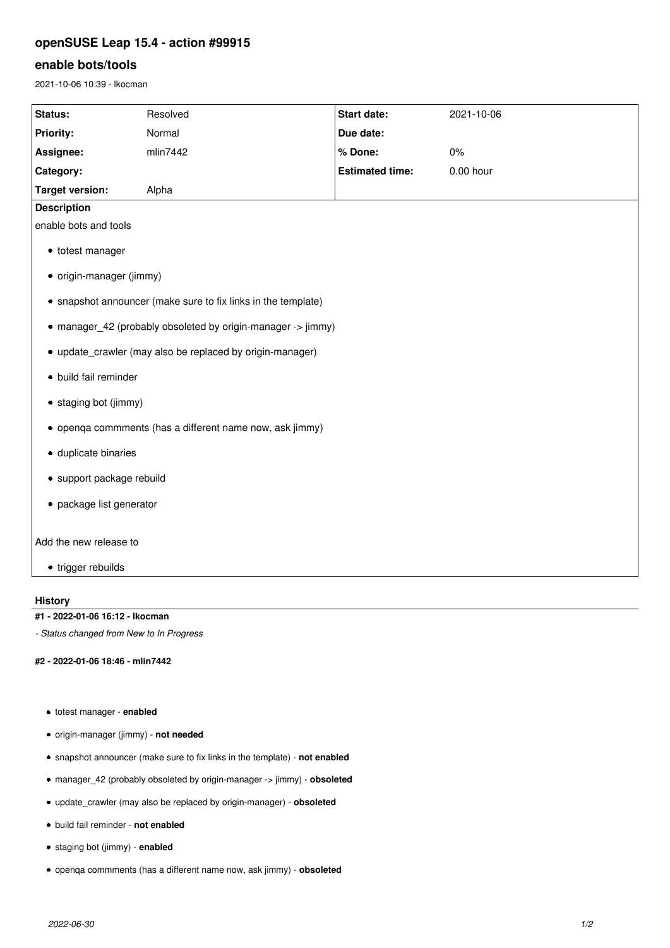# **openSUSE Leap 15.4 - action #99915**

# **enable bots/tools**

2021-10-06 10:39 - lkocman

| Status:                                                       | Resolved | <b>Start date:</b>     | 2021-10-06  |
|---------------------------------------------------------------|----------|------------------------|-------------|
| Priority:                                                     | Normal   | Due date:              |             |
| Assignee:                                                     | mlin7442 | % Done:                | 0%          |
| Category:                                                     |          | <b>Estimated time:</b> | $0.00$ hour |
| <b>Target version:</b>                                        | Alpha    |                        |             |
| <b>Description</b>                                            |          |                        |             |
| enable bots and tools                                         |          |                        |             |
| • totest manager                                              |          |                        |             |
| • origin-manager (jimmy)                                      |          |                        |             |
| • snapshot announcer (make sure to fix links in the template) |          |                        |             |
| • manager_42 (probably obsoleted by origin-manager -> jimmy)  |          |                        |             |
| • update_crawler (may also be replaced by origin-manager)     |          |                        |             |
| · build fail reminder                                         |          |                        |             |
| • staging bot (jimmy)                                         |          |                        |             |
| • openqa commments (has a different name now, ask jimmy)      |          |                        |             |
| · duplicate binaries                                          |          |                        |             |
| · support package rebuild                                     |          |                        |             |
| • package list generator                                      |          |                        |             |
| Add the new release to                                        |          |                        |             |
| • trigger rebuilds                                            |          |                        |             |

## **History**

#### **#1 - 2022-01-06 16:12 - lkocman**

*- Status changed from New to In Progress*

### **#2 - 2022-01-06 18:46 - mlin7442**

- totest manager **enabled**
- origin-manager (jimmy) **not needed**
- snapshot announcer (make sure to fix links in the template) **not enabled**
- manager\_42 (probably obsoleted by origin-manager -> jimmy) **obsoleted**
- update\_crawler (may also be replaced by origin-manager) **obsoleted**
- build fail reminder **not enabled**
- staging bot (jimmy) **enabled**
- openqa commments (has a different name now, ask jimmy) **obsoleted**